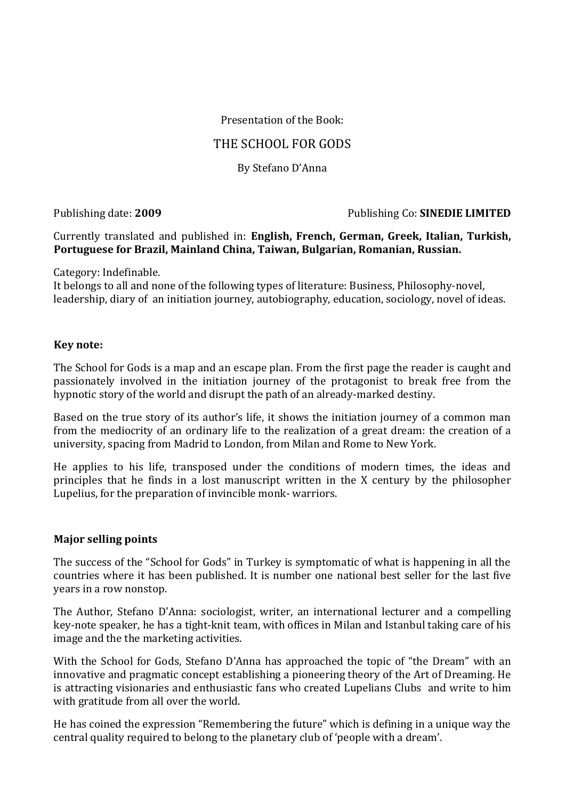Presentation of the Book:

# THE SCHOOL FOR GODS

By Stefano D'Anna

Publishing date: **2009** Publishing Co: **SINEDIE LIMITED**

Currently translated and published in: **English, French, German, Greek, Italian, Turkish, Portuguese for Brazil, Mainland China, Taiwan, Bulgarian, Romanian, Russian.**

Category: Indefinable.

It belongs to all and none of the following types of literature: Business, Philosophy-novel, leadership, diary of an initiation journey, autobiography, education, sociology, novel of ideas.

#### **Key note:**

The School for Gods is a map and an escape plan. From the first page the reader is caught and passionately involved in the initiation journey of the protagonist to break free from the hypnotic story of the world and disrupt the path of an already-marked destiny.

Based on the true story of its author's life, it shows the initiation journey of a common man from the mediocrity of an ordinary life to the realization of a great dream: the creation of a university, spacing from Madrid to London, from Milan and Rome to New York.

He applies to his life, transposed under the conditions of modern times, the ideas and principles that he finds in a lost manuscript written in the X century by the philosopher Lupelius, for the preparation of invincible monk- warriors.

### **Major selling points**

The success of the "School for Gods" in Turkey is symptomatic of what is happening in all the countries where it has been published. It is number one national best seller for the last five years in a row nonstop.

The Author, Stefano D'Anna: sociologist, writer, an international lecturer and a compelling key-note speaker, he has a [tight-knit](http://www.wordreference.com/enit/tight-knit) team, with offices in Milan and Istanbul taking care of his image and the the marketing activities.

With the School for Gods, Stefano D'Anna has approached the topic of "the Dream" with an innovative and pragmatic concept establishing a pioneering theory of the Art of Dreaming. He is attracting visionaries and enthusiastic fans who created Lupelians Clubs and write to him with gratitude from all over the world.

He has coined the expression "Remembering the future" which is defining in a unique way the central quality required to belong to the planetary club of 'people with a dream'.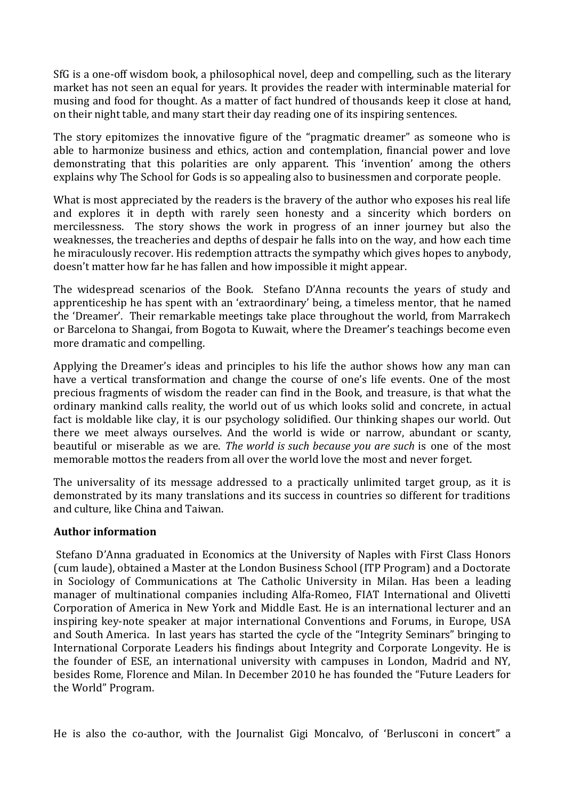SfG is a one-off wisdom book, a philosophical novel, deep and compelling, such as the literary market has not seen an equal for years. It provides the reader with interminable material for musing and food for thought. As a matter of fact hundred of thousands keep it close at hand, on their night table, and many start their day reading one of its inspiring sentences.

The story epitomizes the innovative figure of the "pragmatic dreamer" as someone who is able to harmonize business and ethics, action and contemplation, financial power and love demonstrating that this polarities are only apparent. This 'invention' among the others explains why The School for Gods is so appealing also to businessmen and corporate people.

What is most appreciated by the readers is the bravery of the author who exposes his real life and explores it in depth with rarely seen honesty and a sincerity which borders on mercilessness. The story shows the work in progress of an inner journey but also the weaknesses, the treacheries and depths of despair he falls into on the way, and how each time he miraculously recover. His redemption attracts the sympathy which gives hopes to anybody, doesn't matter how far he has fallen and how impossible it might appear.

The widespread scenarios of the Book. Stefano D'Anna recounts the years of study and apprenticeship he has spent with an 'extraordinary' being, a timeless mentor, that he named the 'Dreamer'. Their remarkable meetings take place throughout the world, from Marrakech or Barcelona to Shangai, from Bogota to Kuwait, where the Dreamer's teachings become even more dramatic and compelling.

Applying the Dreamer's ideas and principles to his life the author shows how any man can have a vertical transformation and change the course of one's life events. One of the most precious fragments of wisdom the reader can find in the Book, and treasure, is that what the ordinary mankind calls reality, the world out of us which looks solid and concrete, in actual fact is moldable like clay, it is our psychology solidified. Our thinking shapes our world. Out there we meet always ourselves. And the world is wide or narrow, abundant or scanty, beautiful or miserable as we are. *The world is such because you are such* is one of the most memorable mottos the readers from all over the world love the most and never forget.

The universality of its message addressed to a practically unlimited target group, as it is demonstrated by its many translations and its success in countries so different for traditions and culture, like China and Taiwan.

### **Author information**

Stefano D'Anna graduated in Economics at the University of Naples with First Class Honors (cum laude), obtained a Master at the London Business School (ITP Program) and a Doctorate in Sociology of Communications at The Catholic University in Milan. Has been a leading manager of multinational companies including Alfa-Romeo, FIAT International and Olivetti Corporation of America in New York and Middle East. He is an international lecturer and an inspiring key-note speaker at major international Conventions and Forums, in Europe, USA and South America. In last years has started the cycle of the "Integrity Seminars" bringing to International Corporate Leaders his findings about Integrity and Corporate Longevity. He is the founder of ESE, an international university with campuses in London, Madrid and NY, besides Rome, Florence and Milan. In December 2010 he has founded the "Future Leaders for the World" Program.

He is also the co-author, with the Journalist Gigi Moncalvo, of 'Berlusconi in concert" a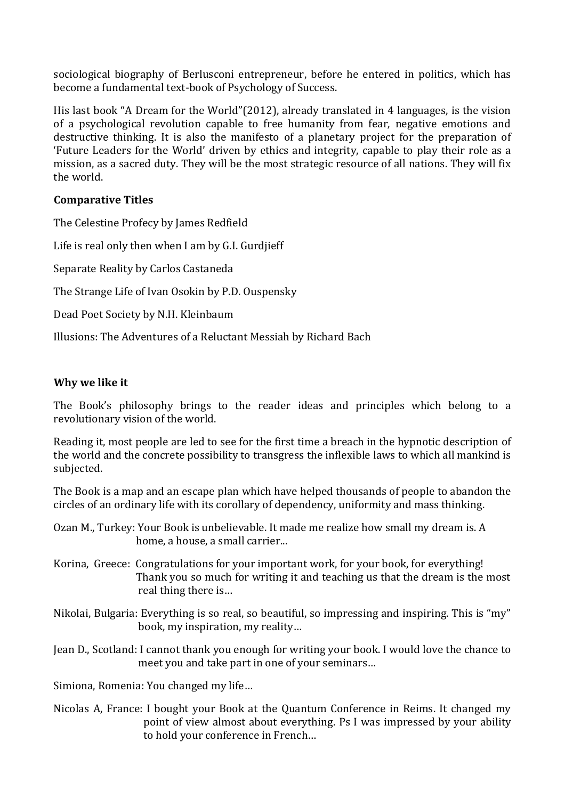sociological biography of Berlusconi entrepreneur, before he entered in politics, which has become a fundamental text-book of Psychology of Success.

His last book "A Dream for the World"(2012), already translated in 4 languages, is the vision of a psychological revolution capable to free humanity from fear, negative emotions and destructive thinking. It is also the manifesto of a planetary project for the preparation of 'Future Leaders for the World' driven by ethics and integrity, capable to play their role as a mission, as a sacred duty. They will be the most strategic resource of all nations. They will fix the world.

### **Comparative Titles**

The Celestine Profecy by James Redfield Life is real only then when I am by G.I. Gurdjieff Separate Reality by Carlos Castaneda The Strange Life of Ivan Osokin by P.D. Ouspensky Dead Poet Society by N.H. Kleinbaum Illusions: The Adventures of a Reluctant Messiah by Richard Bach

## **Why we like it**

The Book's philosophy brings to the reader ideas and principles which belong to a revolutionary vision of the world.

Reading it, most people are led to see for the first time a breach in the hypnotic description of the world and the concrete possibility to transgress the inflexible laws to which all mankind is subjected.

The Book is a map and an escape plan which have helped thousands of people to abandon the circles of an ordinary life with its corollary of dependency, uniformity and mass thinking.

Ozan M., Turkey: Your Book is unbelievable. It made me realize how small my dream is. A home, a house, a small carrier...

- Korina, Greece: Congratulations for your important work, for your book, for everything! Thank you so much for writing it and teaching us that the dream is the most real thing there is…
- Nikolai, Bulgaria: Everything is so real, so beautiful, so impressing and inspiring. This is "my" book, my inspiration, my reality…
- Jean D., Scotland: I cannot thank you enough for writing your book. I would love the chance to meet you and take part in one of your seminars…

Simiona, Romenia: You changed my life…

Nicolas A, France: I bought your Book at the Quantum Conference in Reims. It changed my point of view almost about everything. Ps I was impressed by your ability to hold your conference in French…